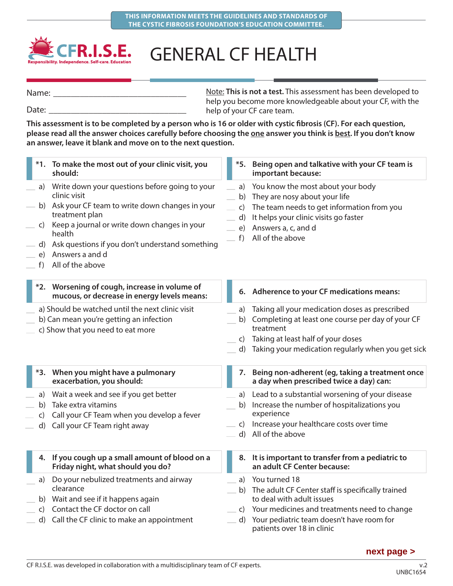

## GENERAL CF HEALTH

Note: **This is not a test.** This assessment has been developed to help you become more knowledgeable about your CF, with the help of your CF care team. Name: Date:

**This assessment is to be completed by a person who is 16 or older with cystic fibrosis (CF). For each question,**  please read all the answer choices carefully before choosing the one answer you think is best. If you don't know **an answer, leave it blank and move on to the next question.**

|                                | *1. To make the most out of your clinic visit, you<br>should:                                                                                                                                                                                                                                |                                            | *5. Being open and talkative with your CF team is<br>important because:                                                                                                                                                    |
|--------------------------------|----------------------------------------------------------------------------------------------------------------------------------------------------------------------------------------------------------------------------------------------------------------------------------------------|--------------------------------------------|----------------------------------------------------------------------------------------------------------------------------------------------------------------------------------------------------------------------------|
| a)<br>C)<br>e)<br>$f$ )        | Write down your questions before going to your<br>clinic visit<br>b) Ask your CF team to write down changes in your<br>treatment plan<br>Keep a journal or write down changes in your<br>health<br>d) Ask questions if you don't understand something<br>Answers a and d<br>All of the above | a)<br>b)<br>$\mathsf{C}$<br>d)<br>e)<br>f) | You know the most about your body<br>They are nosy about your life<br>The team needs to get information from you<br>It helps your clinic visits go faster<br>Answers a, c, and d<br>All of the above                       |
|                                | *2. Worsening of cough, increase in volume of<br>mucous, or decrease in energy levels means:                                                                                                                                                                                                 |                                            | 6. Adherence to your CF medications means:                                                                                                                                                                                 |
|                                | a) Should be watched until the next clinic visit<br>b) Can mean you're getting an infection<br>c) Show that you need to eat more                                                                                                                                                             | a)<br>b)<br>C)<br>d)                       | Taking all your medication doses as prescribed<br>Completing at least one course per day of your CF<br>treatment<br>Taking at least half of your doses<br>Taking your medication regularly when you get sick               |
|                                | *3. When you might have a pulmonary<br>exacerbation, you should:                                                                                                                                                                                                                             | 7.                                         | Being non-adherent (eg, taking a treatment once<br>a day when prescribed twice a day) can:                                                                                                                                 |
| a)<br>b)<br>$\mathsf{C}$<br>d) | Wait a week and see if you get better<br>Take extra vitamins<br>Call your CF Team when you develop a fever<br>Call your CF Team right away                                                                                                                                                   | a)<br>b)<br>C)<br>$\mathsf{d}$             | Lead to a substantial worsening of your disease<br>Increase the number of hospitalizations you<br>experience<br>Increase your healthcare costs over time<br>All of the above                                               |
|                                | 4. If you cough up a small amount of blood on a<br>Friday night, what should you do?                                                                                                                                                                                                         |                                            | 8. It is important to transfer from a pediatric to<br>an adult CF Center because:                                                                                                                                          |
| a)<br>C)<br>d)                 | Do your nebulized treatments and airway<br>clearance<br>b) Wait and see if it happens again<br>Contact the CF doctor on call<br>Call the CF clinic to make an appointment                                                                                                                    | a)<br>b)<br>C)<br>d)                       | You turned 18<br>The adult CF Center staff is specifically trained<br>to deal with adult issues<br>Your medicines and treatments need to change<br>Your pediatric team doesn't have room for<br>patients over 18 in clinic |